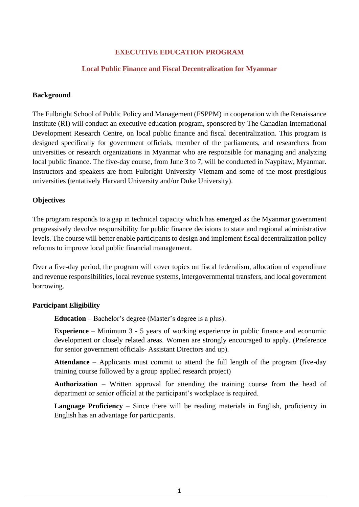## **EXECUTIVE EDUCATION PROGRAM**

### **Local Public Finance and Fiscal Decentralization for Myanmar**

## **Background**

The Fulbright School of Public Policy and Management (FSPPM) in cooperation with the Renaissance Institute (RI) will conduct an executive education program, sponsored by The Canadian International Development Research Centre, on local public finance and fiscal decentralization. This program is designed specifically for government officials, member of the parliaments, and researchers from universities or research organizations in Myanmar who are responsible for managing and analyzing local public finance. The five-day course, from June 3 to 7, will be conducted in Naypitaw, Myanmar. Instructors and speakers are from Fulbright University Vietnam and some of the most prestigious universities (tentatively Harvard University and/or Duke University).

### **Objectives**

The program responds to a gap in technical capacity which has emerged as the Myanmar government progressively devolve responsibility for public finance decisions to state and regional administrative levels. The course will better enable participants to design and implement fiscal decentralization policy reforms to improve local public financial management.

Over a five-day period, the program will cover topics on fiscal federalism, allocation of expenditure and revenue responsibilities, local revenue systems, intergovernmental transfers, and local government borrowing.

#### **Participant Eligibility**

**Education** – Bachelor's degree (Master's degree is a plus).

**Experience** – Minimum 3 - 5 years of working experience in public finance and economic development or closely related areas. Women are strongly encouraged to apply. (Preference for senior government officials- Assistant Directors and up).

**Attendance** – Applicants must commit to attend the full length of the program (five-day training course followed by a group applied research project)

**Authorization** – Written approval for attending the training course from the head of department or senior official at the participant's workplace is required.

**Language Proficiency** – Since there will be reading materials in English, proficiency in English has an advantage for participants.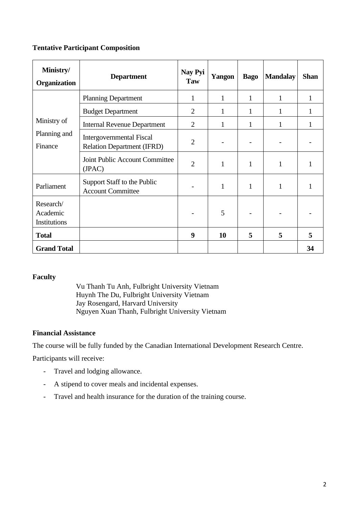## **Tentative Participant Composition**

| Ministry/<br><b>Organization</b>       | <b>Department</b>                                                    | Nay Pyi<br>Taw | Yangon       | <b>Bago</b> | <b>Mandalay</b> | <b>Shan</b> |
|----------------------------------------|----------------------------------------------------------------------|----------------|--------------|-------------|-----------------|-------------|
| Ministry of<br>Planning and<br>Finance | <b>Planning Department</b>                                           | 1              | 1            | 1           | 1               | 1           |
|                                        | <b>Budget Department</b>                                             | $\overline{2}$ | 1            | 1           | 1               | 1           |
|                                        | <b>Internal Revenue Department</b>                                   | $\overline{2}$ | $\mathbf{1}$ | 1           | 1               | 1           |
|                                        | <b>Intergovernmental Fiscal</b><br><b>Relation Department (IFRD)</b> | $\overline{2}$ |              |             |                 |             |
|                                        | Joint Public Account Committee<br>(JPAC)                             | $\overline{2}$ | 1            | 1           | 1               | 1           |
| Parliament                             | Support Staff to the Public<br><b>Account Committee</b>              |                | 1            | 1           | 1               | 1           |
| Research/<br>Academic<br>Institutions  |                                                                      |                | 5            |             |                 |             |
| <b>Total</b>                           |                                                                      | 9              | 10           | 5           | 5               | 5           |
| <b>Grand Total</b>                     |                                                                      |                |              |             |                 | 34          |

#### **Faculty**

Vu Thanh Tu Anh, Fulbright University Vietnam Huynh The Du, Fulbright University Vietnam Jay Rosengard, Harvard University Nguyen Xuan Thanh, Fulbright University Vietnam

## **Financial Assistance**

The course will be fully funded by the Canadian International Development Research Centre.

Participants will receive:

- Travel and lodging allowance.
- A stipend to cover meals and incidental expenses.
- Travel and health insurance for the duration of the training course.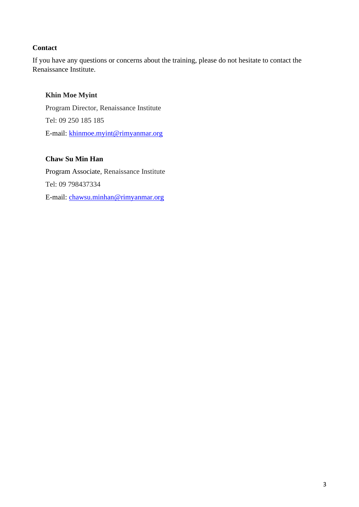# **Contact**

If you have any questions or concerns about the training, please do not hesitate to contact the Renaissance Institute.

# **Khin Moe Myint**

Program Director, Renaissance Institute Tel: 09 250 185 185 E-mail: [khinmoe.myint@rimyanmar.org](mailto:khinmoe.myint@rimyanmar.org)

## **Chaw Su Min Han**

Program Associate, Renaissance Institute Tel: 09 798437334 E-mail: [chawsu.minhan@rimyanmar.org](mailto:chawsu.minhan@rimyanmar.org)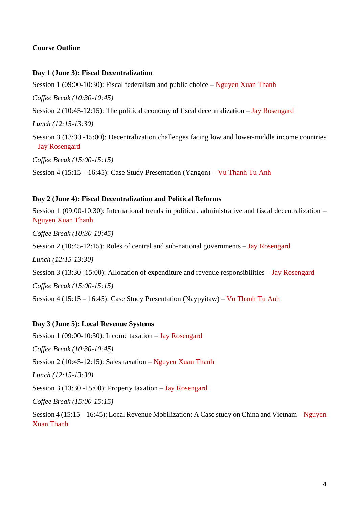# **Course Outline**

### **Day 1 (June 3): Fiscal Decentralization**

Session 1 (09:00-10:30): Fiscal federalism and public choice – Nguyen Xuan Thanh *Coffee Break (10:30-10:45)* Session 2 (10:45-12:15): The political economy of fiscal decentralization – Jay Rosengard *Lunch (12:15-13:30)* Session 3 (13:30 -15:00): Decentralization challenges facing low and lower-middle income countries – Jay Rosengard *Coffee Break (15:00-15:15)* Session 4 (15:15 – 16:45): Case Study Presentation (Yangon) – Vu Thanh Tu Anh

### **Day 2 (June 4): Fiscal Decentralization and Political Reforms**

Session 1 (09:00-10:30): International trends in political, administrative and fiscal decentralization – Nguyen Xuan Thanh

*Coffee Break (10:30-10:45)*

Session 2 (10:45-12:15): Roles of central and sub-national governments – Jay Rosengard

*Lunch (12:15-13:30)*

Session 3 (13:30 -15:00): Allocation of expenditure and revenue responsibilities – Jay Rosengard

*Coffee Break (15:00-15:15)*

Session 4 (15:15 – 16:45): Case Study Presentation (Naypyitaw) – Vu Thanh Tu Anh

#### **Day 3 (June 5): Local Revenue Systems**

Session 1 (09:00-10:30): Income taxation – Jay Rosengard

*Coffee Break (10:30-10:45)*

Session 2 (10:45-12:15): Sales taxation – Nguyen Xuan Thanh

*Lunch (12:15-13:30)*

Session 3 (13:30 -15:00): Property taxation – Jay Rosengard

*Coffee Break (15:00-15:15)*

Session 4 (15:15 – 16:45): Local Revenue Mobilization: A Case study on China and Vietnam – Nguyen Xuan Thanh